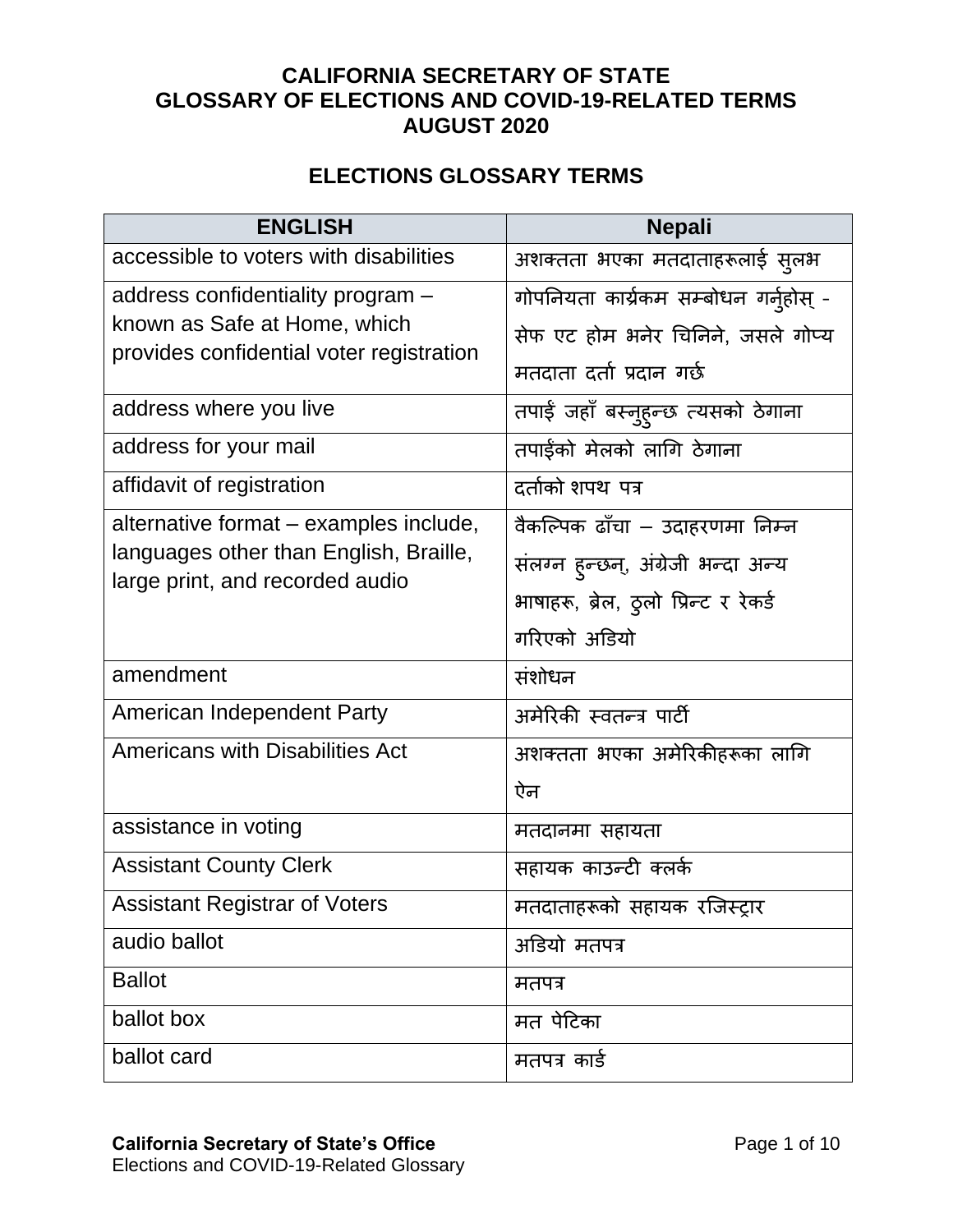## **CALIFORNIA SECRETARY OF STATE GLOSSARY OF ELECTIONS AND COVID-19-RELATED TERMS AUGUST 2020**

## **ELECTIONS GLOSSARY TERMS**

| <b>ENGLISH</b>                                                            | <b>Nepali</b>                         |
|---------------------------------------------------------------------------|---------------------------------------|
| accessible to voters with disabilities                                    | अशक्तता भएका मतदाताहरूलाई सुलभ        |
| address confidentiality program -                                         | गोपनियता कार्यकम सम्बोधन गर्नुहोस् -  |
| known as Safe at Home, which                                              | सेफ एट होम भनेर चिनिने, जसले गोप्य    |
| provides confidential voter registration                                  | मतदाता दर्ता प्रदान गर्छ              |
| address where you live                                                    | तपाई जहाँ बस्नुहुन्छ त्यसको ठेगाना    |
| address for your mail                                                     | तपाईंको मेलको लागि ठेगाना             |
| affidavit of registration                                                 | दर्ताको शपथ पत्र                      |
| alternative format – examples include,                                    | वैकल्पिक ढाँचा – उदाहरणमा निम्न       |
| languages other than English, Braille,<br>large print, and recorded audio | संलग्न हुन्छन्, अंग्रेजी भन्दा अन्य   |
|                                                                           | भाषाहरू, ब्रेल, ठुलो प्रिन्ट र रेकर्ड |
|                                                                           | गरिएको अडियो                          |
| amendment                                                                 | संशोधन                                |
| American Independent Party                                                | अमेरिकी स्वतन्त्र पार्टी              |
| <b>Americans with Disabilities Act</b>                                    | अशक्तता भएका अमेरिकीहरूका लागि        |
|                                                                           | ऐन                                    |
| assistance in voting                                                      | मतदानमा सहायता                        |
| <b>Assistant County Clerk</b>                                             | सहायक काउन्टी क्लर्क                  |
| <b>Assistant Registrar of Voters</b>                                      | मतदाताहरूको सहायक रजिस्ट्रार          |
| audio ballot                                                              | अडियो मतपत्र                          |
| <b>Ballot</b>                                                             | मतपत्र                                |
| ballot box                                                                | मत पेटिका                             |
| ballot card                                                               | मतपत्र कार्ड                          |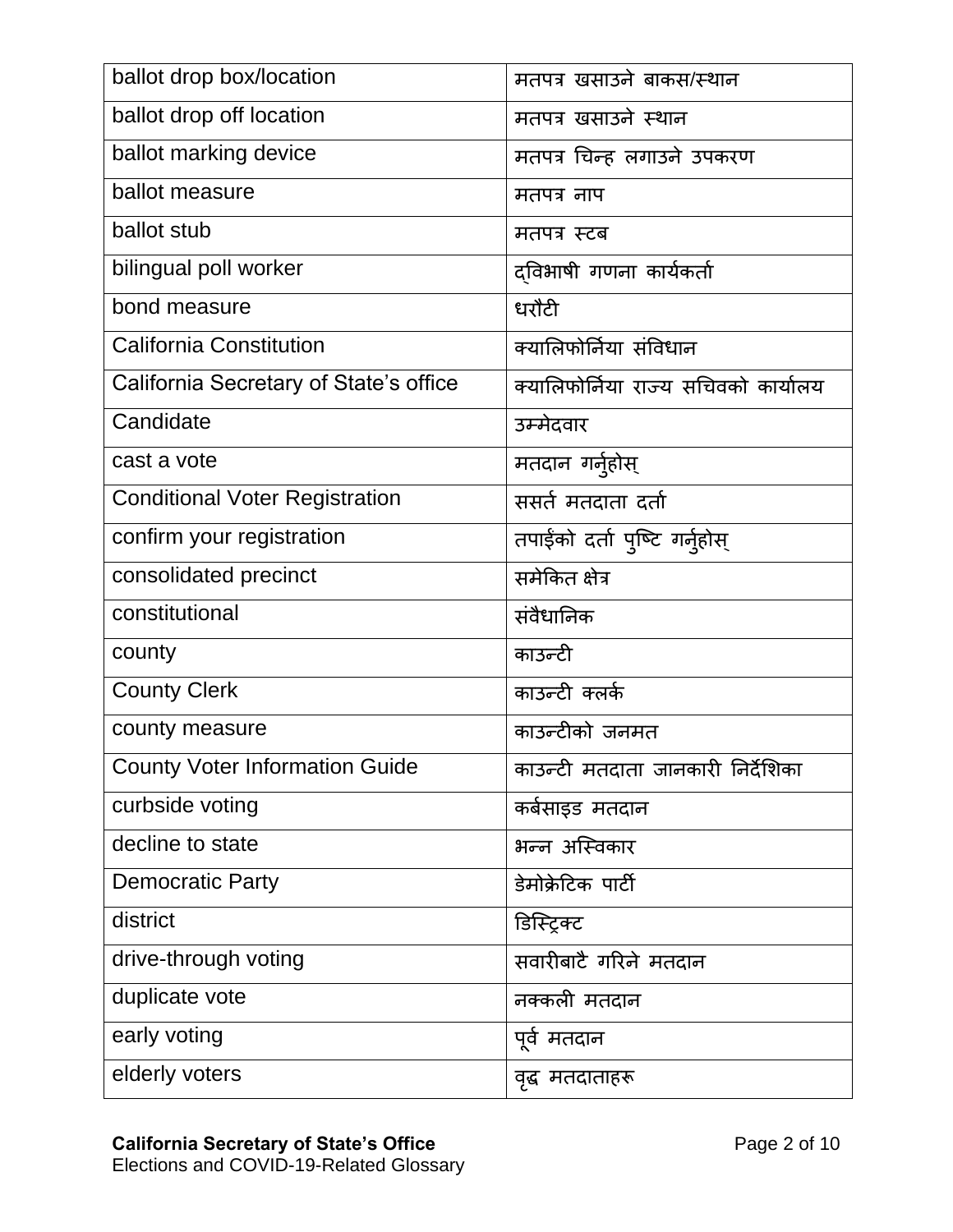| ballot drop box/location               | मतपत्र खसाउने बाकस/स्थान             |
|----------------------------------------|--------------------------------------|
| ballot drop off location               | मतपत्र खसाउने स्थान                  |
| ballot marking device                  | मतपत्र चिन्ह लगाउने उपकरण            |
| ballot measure                         | मतपत्र नाप                           |
| ballot stub                            | मतपत्र स्टब                          |
| bilingual poll worker                  | दविभाषी गणना कार्यकर्ता              |
| bond measure                           | धरौटी                                |
| <b>California Constitution</b>         | क्यालिफोर्निया संविधान               |
| California Secretary of State's office | क्यालिफोर्निया राज्य सचिवको कार्यालय |
| Candidate                              | उम्मेदवार                            |
| cast a vote                            | मतदान गर्नुहोस्                      |
| <b>Conditional Voter Registration</b>  | ससर्त मतदाता दर्ता                   |
| confirm your registration              | तपाईको दर्ता पुष्टि गर्नुहोस्        |
| consolidated precinct                  | समेकित क्षेत्र                       |
| constitutional                         | संवैधानिक                            |
| county                                 | काउन्टी                              |
| <b>County Clerk</b>                    | काउन्टी क्लर्क                       |
| county measure                         | काउन्टीको जनमत                       |
| <b>County Voter Information Guide</b>  | काउन्टी मतदाता जानकारी निर्देशिका    |
| curbside voting                        | कर्बसाइड मतदान                       |
| decline to state                       | भन्न अस्विकार                        |
| <b>Democratic Party</b>                | डेमोक्रेटिक पार्टी                   |
| district                               | डिस्ट्रिक्ट                          |
| drive-through voting                   | सवारीबाटै गरिने मतदान                |
| duplicate vote                         | नक्कली मतदान                         |
| early voting                           | पूर्व मतदान                          |
| elderly voters                         | वृद्ध मतदाताहरू                      |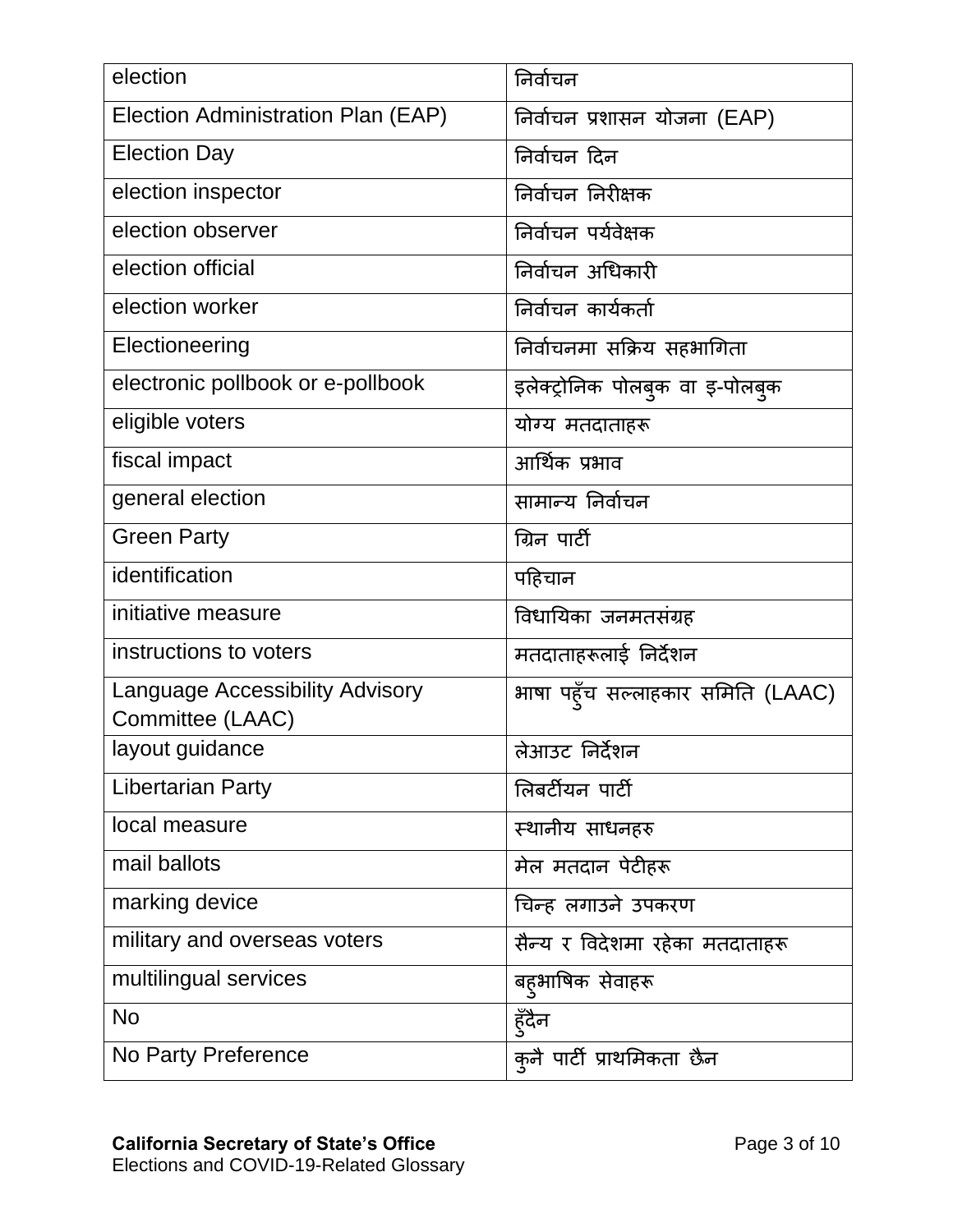| election                                                   | निर्वाचन                          |
|------------------------------------------------------------|-----------------------------------|
| Election Administration Plan (EAP)                         | निर्वाचन प्रशासन योजना (EAP)      |
| <b>Election Day</b>                                        | निर्वाचन दिन                      |
| election inspector                                         | निर्वाचन निरीक्षक                 |
| election observer                                          | निर्वाचन पर्यवेक्षक               |
| election official                                          | निर्वाचन अधिकारी                  |
| election worker                                            | निर्वाचन कार्यकर्ता               |
| Electioneering                                             | निर्वाचनमा सक्रिय सहभागिता        |
| electronic pollbook or e-pollbook                          | इलेक्ट्रोनिक पोलबुक वा इ-पोलबुक   |
| eligible voters                                            | योग्य मतदाताहरू                   |
| fiscal impact                                              | आर्थिक प्रभाव                     |
| general election                                           | सामान्य निर्वाचन                  |
| <b>Green Party</b>                                         | ग्रिन पार्टी                      |
| identification                                             | पहिचान                            |
| initiative measure                                         | विधायिका जनमतसंग्रह               |
| instructions to voters                                     | मतदाताहरूलाई निर्देशन             |
| <b>Language Accessibility Advisory</b><br>Committee (LAAC) | भाषा पहूँच सल्लाहकार समिति (LAAC) |
| layout guidance                                            | लेआउट निर्देशन                    |
| <b>Libertarian Party</b>                                   | लिबर्टीयन पार्टी                  |
| local measure                                              | स्थानीय साधनहरु                   |
| mail ballots                                               | मेल मतदान पेटीहरू                 |
| marking device                                             | चिन्ह लगाउने उपकरण                |
| military and overseas voters                               | सैन्य र विदेशमा रहेका मतदाताहरू   |
| multilingual services                                      | बह्आषिक सेवाहरू                   |
| <b>No</b>                                                  | हुँदैन                            |
| No Party Preference                                        | कुनै पार्टी प्राथमिकता छैन        |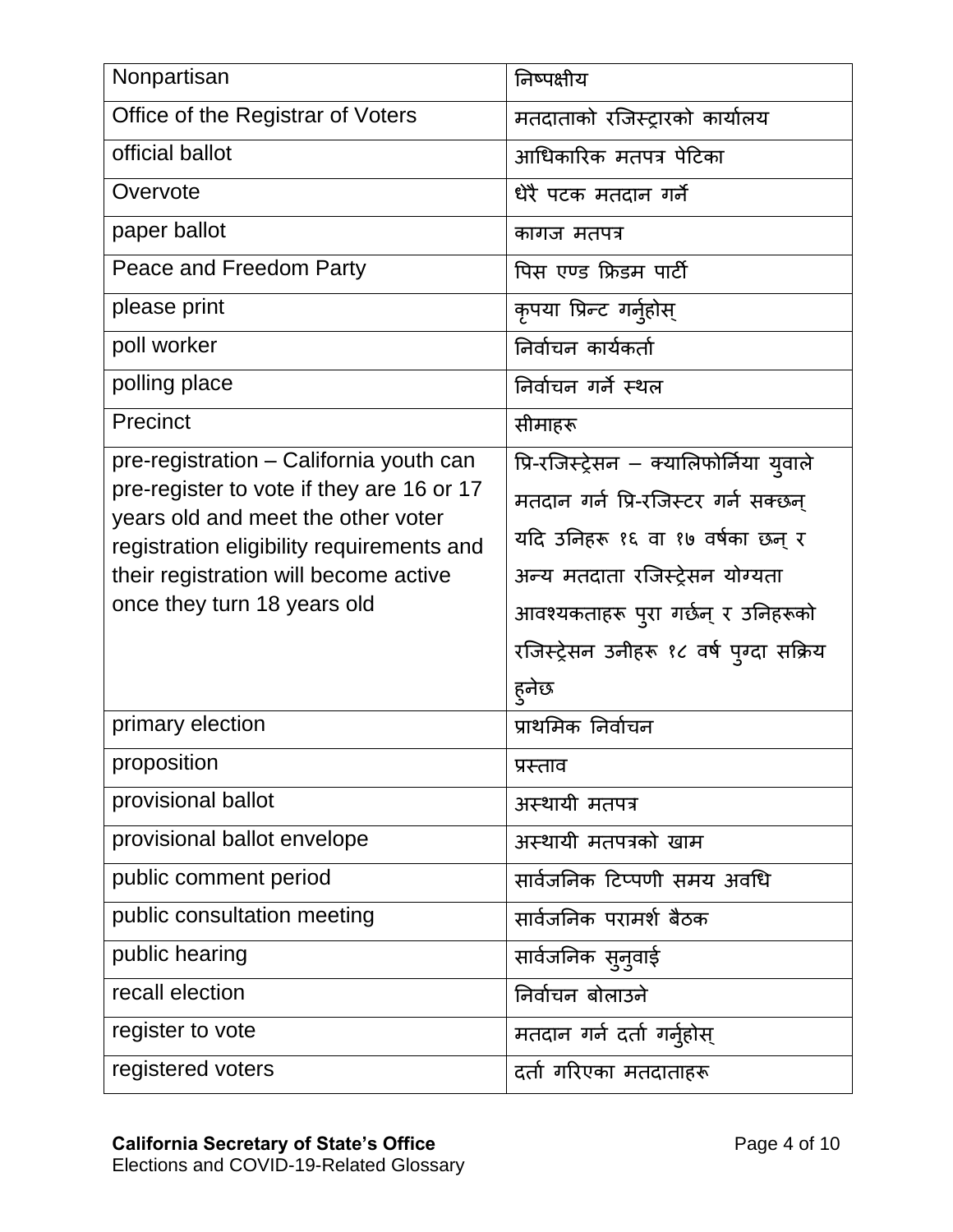| Nonpartisan                                                                     | निष्पक्षीय                               |
|---------------------------------------------------------------------------------|------------------------------------------|
| Office of the Registrar of Voters                                               | मतदाताको रजिस्ट्रारको कार्यालय           |
| official ballot                                                                 | आधिकारिक मतपत्र पेटिका                   |
| Overvote                                                                        | धेरै पटक मतदान गर्ने                     |
| paper ballot                                                                    | कागज मतपत्र                              |
| Peace and Freedom Party                                                         | पिस एण्ड फ्रिडम पार्टी                   |
| please print                                                                    | कृपया प्रिन्ट गर्नुहोस्                  |
| poll worker                                                                     | निर्वाचन कार्यकर्ता                      |
| polling place                                                                   | निर्वाचन गर्ने स्थल                      |
| Precinct                                                                        | सीमाहरू                                  |
| pre-registration - California youth can                                         | प्रि-रजिस्ट्रेसन – क्यालिफोर्निया युवाले |
| pre-register to vote if they are 16 or 17<br>years old and meet the other voter | मतदान गर्न प्रि-रजिस्टर गर्न सक्छन्      |
| registration eligibility requirements and                                       | यदि उनिहरू १६ वा १७ वर्षका छन् र         |
| their registration will become active                                           | अन्य मतदाता रजिस्ट्रेसन योग्यता          |
| once they turn 18 years old                                                     | आवश्यकताहरू पुरा गर्छन् र उनिहरूको       |
|                                                                                 | रजिस्ट्रेसन उनीहरू १८ वर्ष पुग्दा सक्रिय |
|                                                                                 | हुनेछ                                    |
| primary election                                                                | प्राथमिक निर्वाचन                        |
| proposition                                                                     | प्रस्ताव                                 |
| provisional ballot                                                              | अस्थायी मतपत्र                           |
| provisional ballot envelope                                                     | अस्थायी मतपत्रको खाम                     |
| public comment period                                                           | सार्वजनिक टिप्पणी समय अवधि               |
| public consultation meeting                                                     | सार्वजनिक परामर्श बैठक                   |
| public hearing                                                                  | सार्वजनिक सुनुवाई                        |
| recall election                                                                 | निर्वाचन बोलाउने                         |
| register to vote                                                                | मतदान गर्न दर्ता गर्नुहोस्               |
| registered voters                                                               | दर्ता गरिएका मतदाताहरू                   |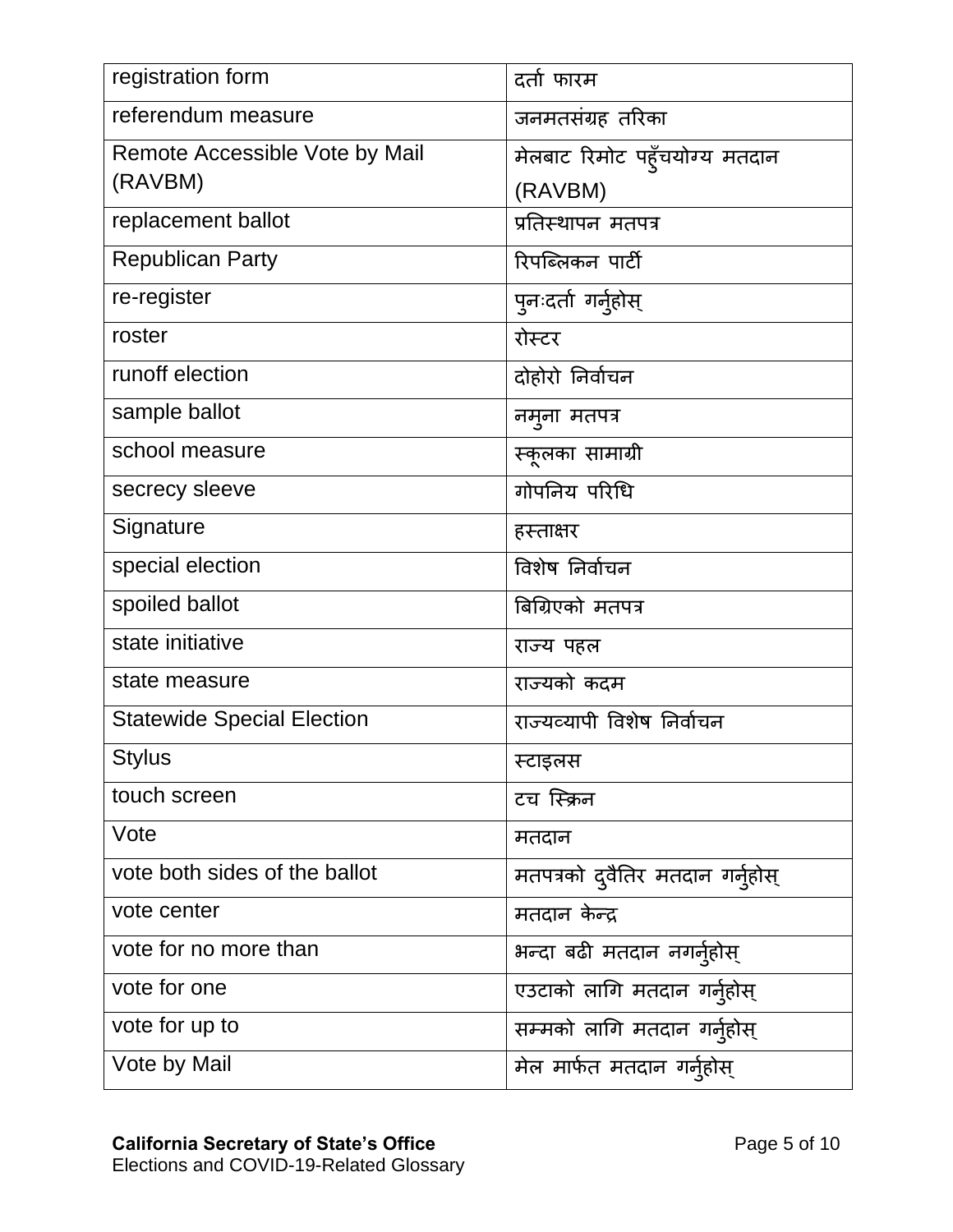| registration form                 | दर्ता फारम                       |
|-----------------------------------|----------------------------------|
| referendum measure                | जनमतसंग्रह तरिका                 |
| Remote Accessible Vote by Mail    | मेलबाट रिमोट पहूँचयोग्य मतदान    |
| (RAVBM)                           | (RAVBM)                          |
| replacement ballot                | प्रतिस्थापन मतपत्र               |
| <b>Republican Party</b>           | रिपब्लिकन पार्टी                 |
| re-register                       | पुनःदर्ता गर्नुहोस्              |
| roster                            | रोस्टर                           |
| runoff election                   | दोहोरो निर्वाचन                  |
| sample ballot                     | नमूना मतपत्र                     |
| school measure                    | स्कूलका सामाग्री                 |
| secrecy sleeve                    | गोपनिय परिधि                     |
| Signature                         | हस्ताक्षर                        |
| special election                  | विशेष निर्वाचन                   |
| spoiled ballot                    | बिग्रिएको मतपत्र                 |
| state initiative                  | राज्य पहल                        |
| state measure                     | राज्यको कदम                      |
| <b>Statewide Special Election</b> | राज्यव्यापी विशेष निर्वाचन       |
| <b>Stylus</b>                     | स्टाइलस                          |
| touch screen                      | टच स्क्रिन                       |
| Vote                              | मतदान                            |
| vote both sides of the ballot     | मतपत्रको दुवैतिर मतदान गर्नुहोस् |
| vote center                       | मतदान केन्द्र                    |
| vote for no more than             | भन्दा बढी मतदान नगर्नुहोस्       |
| vote for one                      | एउटाको लागि मतदान गर्नुहोस्      |
| vote for up to                    | सम्मको लागि मतदान गर्नुहोस्      |
| Vote by Mail                      | मेल मार्फत मतदान गर्नुहोस्       |
|                                   |                                  |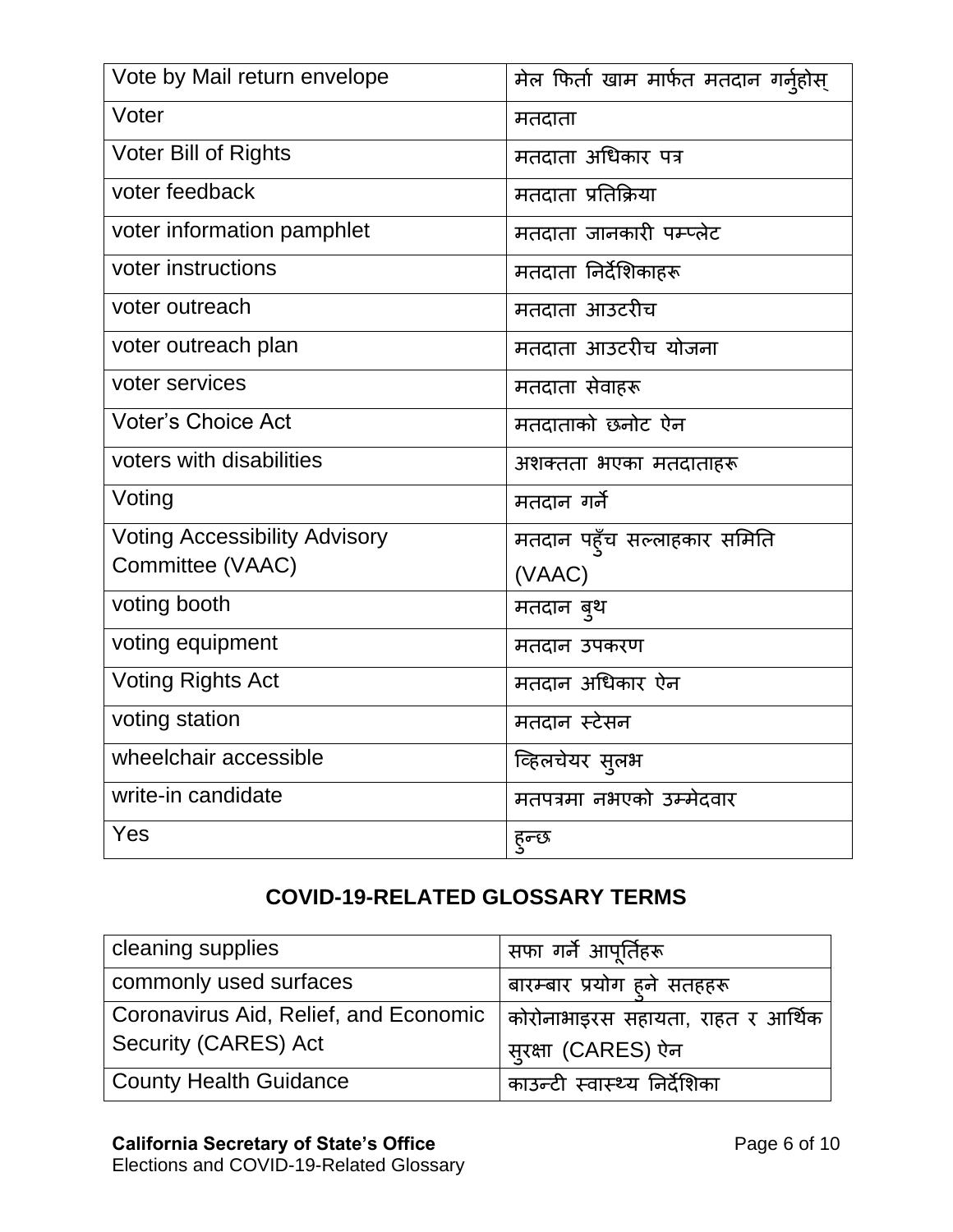| Vote by Mail return envelope         | मेल फिर्ता खाम मार्फत मतदान गर्नुहोस् |
|--------------------------------------|---------------------------------------|
| Voter                                | मतदाता                                |
| <b>Voter Bill of Rights</b>          | मतदाता अधिकार पत्र                    |
| voter feedback                       | मतदाता प्रतिक्रिया                    |
| voter information pamphlet           | मतदाता जानकारी पम्प्लेट               |
| voter instructions                   | मतदाता निर्देशिकाहरू                  |
| voter outreach                       | मतदाता आउटरीच                         |
| voter outreach plan                  | मतदाता आउटरीच योजना                   |
| voter services                       | मतदाता सेवाहरू                        |
| <b>Voter's Choice Act</b>            | मतदाताको छनोट ऐन                      |
| voters with disabilities             | अशक्तता भएका मतदाताहरू                |
| Voting                               | मतदान गर्ने                           |
| <b>Voting Accessibility Advisory</b> | मतदान पहूँच सल्लाहकार समिति           |
| Committee (VAAC)                     | (VAAC)                                |
| voting booth                         | मतदान बुथ                             |
| voting equipment                     | मतदान उपकरण                           |
| <b>Voting Rights Act</b>             | मतदान अधिकार ऐन                       |
| voting station                       | मतदान स्टेसन                          |
| wheelchair accessible                | व्हिलचेयर सुलभ                        |
| write-in candidate                   | मतपत्रमा नभएको उम्मेदवार              |
| Yes                                  | हुन्छ                                 |

## **COVID-19-RELATED GLOSSARY TERMS**

| cleaning supplies                     | सफा गर्ने आपूर्तिहरू              |
|---------------------------------------|-----------------------------------|
| commonly used surfaces                | बारम्बार प्रयोग हुने सतहहरू       |
| Coronavirus Aid, Relief, and Economic | कोरोनाभाइरस सहायता, राहत र आर्थिक |
| Security (CARES) Act                  | सूरक्षा (CARES) ऐन                |
| <b>County Health Guidance</b>         | काउन्टी स्वास्थ्य निर्देशिका      |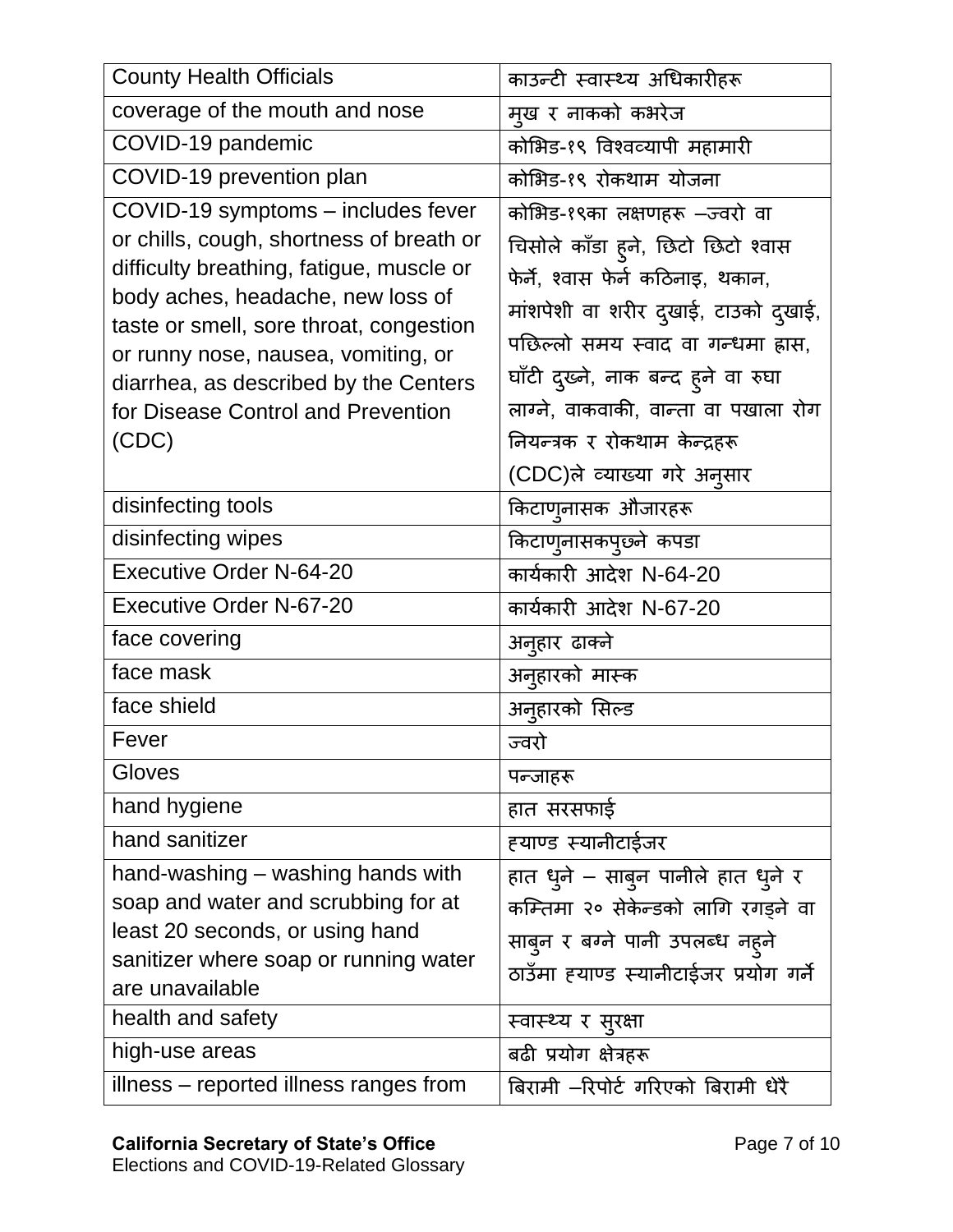| <b>County Health Officials</b>                                                                                                                                                                                                                                                                                                            | काउन्टी स्वास्थ्य अधिकारीहरू                                                                                                                                                                                                                                                                           |
|-------------------------------------------------------------------------------------------------------------------------------------------------------------------------------------------------------------------------------------------------------------------------------------------------------------------------------------------|--------------------------------------------------------------------------------------------------------------------------------------------------------------------------------------------------------------------------------------------------------------------------------------------------------|
| coverage of the mouth and nose                                                                                                                                                                                                                                                                                                            | मूख र नाकको कभरेज                                                                                                                                                                                                                                                                                      |
| COVID-19 pandemic                                                                                                                                                                                                                                                                                                                         | कोभिड-१९ विश्वव्यापी महामारी                                                                                                                                                                                                                                                                           |
| COVID-19 prevention plan                                                                                                                                                                                                                                                                                                                  | कोभिड-१९ रोकथाम योजना                                                                                                                                                                                                                                                                                  |
| COVID-19 symptoms - includes fever<br>or chills, cough, shortness of breath or<br>difficulty breathing, fatigue, muscle or<br>body aches, headache, new loss of<br>taste or smell, sore throat, congestion<br>or runny nose, nausea, vomiting, or<br>diarrhea, as described by the Centers<br>for Disease Control and Prevention<br>(CDC) | कोभिड-१९का लक्षणहरू –ज्वरो वा<br>चिसोले काँडा हूने, छिटो छिटो श्वास<br>फेर्ने, श्वास फेर्न कठिनाइ, थकान,<br>मांशपेशी वा शरीर दुखाई, टाउको दुखाई,<br>पछिल्लो समय स्वाद वा गन्धमा ह्रास,<br>घाँटी दुख्ने, नाक बन्द ह्ने वा रुघा<br>लाग्ने, वाकवाकी, वान्ता वा पखाला रोग<br>नियन्त्रक र रोकथाम केन्द्रहरू |
| disinfecting tools                                                                                                                                                                                                                                                                                                                        | (CDC)ले व्याख्या गरे अनुसार<br>किटाण्नासक औजारहरू                                                                                                                                                                                                                                                      |
| disinfecting wipes                                                                                                                                                                                                                                                                                                                        | किटाण्नासकपुछ्ने कपडा                                                                                                                                                                                                                                                                                  |
| <b>Executive Order N-64-20</b>                                                                                                                                                                                                                                                                                                            | कार्यकारी आदेश N-64-20                                                                                                                                                                                                                                                                                 |
| <b>Executive Order N-67-20</b>                                                                                                                                                                                                                                                                                                            | कार्यकारी आदेश N-67-20                                                                                                                                                                                                                                                                                 |
| face covering                                                                                                                                                                                                                                                                                                                             | अन् <b>हार ढाक्ने</b>                                                                                                                                                                                                                                                                                  |
| face mask                                                                                                                                                                                                                                                                                                                                 | अन् <b>हारको मा</b> स्क                                                                                                                                                                                                                                                                                |
| face shield                                                                                                                                                                                                                                                                                                                               | अनुहारको सिल्ड                                                                                                                                                                                                                                                                                         |
| Fever                                                                                                                                                                                                                                                                                                                                     | ज्वरो                                                                                                                                                                                                                                                                                                  |
| Gloves                                                                                                                                                                                                                                                                                                                                    | पन्जाहरू                                                                                                                                                                                                                                                                                               |
| hand hygiene                                                                                                                                                                                                                                                                                                                              | हात सरसफाई                                                                                                                                                                                                                                                                                             |
| hand sanitizer                                                                                                                                                                                                                                                                                                                            | हयाण्ड स्यानीटाईजर                                                                                                                                                                                                                                                                                     |
| hand-washing - washing hands with<br>soap and water and scrubbing for at<br>least 20 seconds, or using hand<br>sanitizer where soap or running water<br>are unavailable                                                                                                                                                                   | हात धुने – साबुन पानीले हात धुने र<br>कम्तिमा २० सेकेन्डको लागि रगड़ने वा<br>साबुन र बग्ने पानी उपलब्ध नहुने<br>ठाउँमा हयाण्ड स्यानीटाईजर प्रयोग गर्ने                                                                                                                                                 |
| health and safety                                                                                                                                                                                                                                                                                                                         | स्वास्थ्य र सुरक्षा                                                                                                                                                                                                                                                                                    |
| high-use areas                                                                                                                                                                                                                                                                                                                            | बढी प्रयोग क्षेत्रहरू                                                                                                                                                                                                                                                                                  |
| illness – reported illness ranges from                                                                                                                                                                                                                                                                                                    | बिरामी –रिपोर्ट गरिएको बिरामी धेरै                                                                                                                                                                                                                                                                     |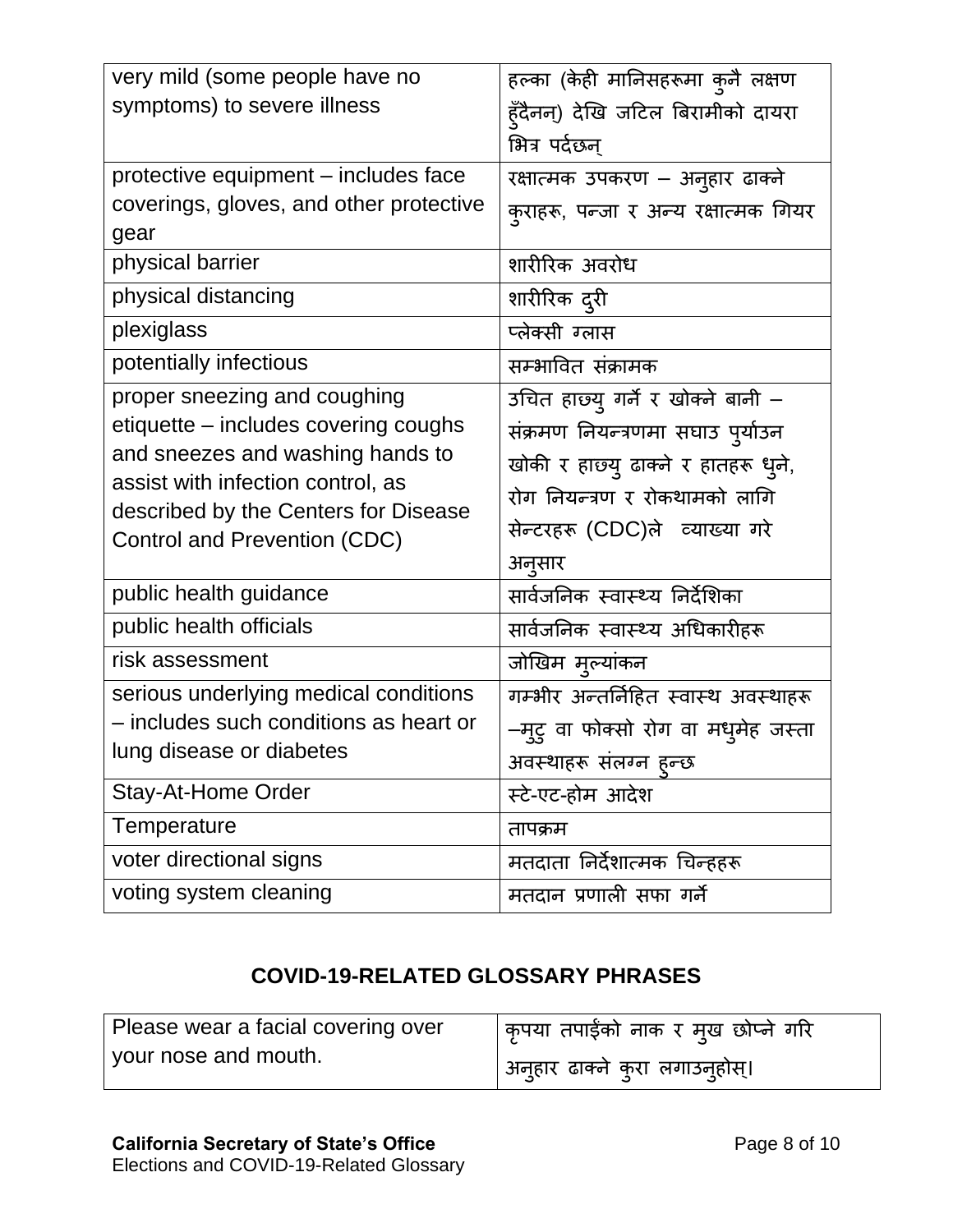| very mild (some people have no                                       | हल्का (केही मानिसहरूमा कुनै लक्षण    |
|----------------------------------------------------------------------|--------------------------------------|
| symptoms) to severe illness                                          | हुँदैनन्) देखि जटिल बिरामीको दायरा   |
|                                                                      | भित्र पर्दछन्                        |
| protective equipment – includes face                                 | रक्षात्मक उपकरण – अनुहार ढाक्ने      |
| coverings, gloves, and other protective                              | कुराहरू, पन्जा र अन्य रक्षात्मक गियर |
| gear                                                                 |                                      |
| physical barrier                                                     | शारीरिक अवरोध                        |
| physical distancing                                                  | शारीरिक द्री                         |
| plexiglass                                                           | प्लेक्सी ग्लास                       |
| potentially infectious                                               | सम्भावित संक्रामक                    |
| proper sneezing and coughing                                         | उचित हाछ्यु गर्ने र खोक्ने बानी –    |
| etiquette – includes covering coughs                                 | संक्रमण नियन्त्रणमा सघाउ पुर्याउन    |
| and sneezes and washing hands to                                     | खोकी र हाछ्यु ढाक्ने र हातहरू धुने,  |
| assist with infection control, as                                    | रोग नियन्त्रण र रोकथामको लागि        |
| described by the Centers for Disease<br>Control and Prevention (CDC) | सेन्टरहरू (CDC)ले व्याख्या गरे       |
|                                                                      | अनूसार                               |
| public health guidance                                               | सार्वजनिक स्वास्थ्य निर्देशिका       |
| public health officials                                              | सार्वजनिक स्वास्थ्य अधिकारीहरू       |
| risk assessment                                                      | जोखिम मुल्यांकन                      |
| serious underlying medical conditions                                | गम्भीर अन्तर्निहित स्वास्थ अवस्थाहरू |
| - includes such conditions as heart or                               | –मूट् वा फोक्सो रोग वा मधुमेह जस्ता  |
| lung disease or diabetes                                             | अवस्थाहरू सलग्न हुन्छ                |
| Stay-At-Home Order                                                   | स्टे-एट-होम आदेश                     |
| Temperature                                                          | तापक्रम                              |
| voter directional signs                                              | मतदाता निर्देशात्मक चिन्हहरू         |
| voting system cleaning                                               | मतदान प्रणाली सफा गर्ने              |

## **COVID-19-RELATED GLOSSARY PHRASES**

| Please wear a facial covering over | कृपया तपाईंको नाक र म्ख छोप्ने गरि      |
|------------------------------------|-----------------------------------------|
| your nose and mouth.               | अनुहार ढाक्ने कुरा लगाउन् <b>होस्</b> । |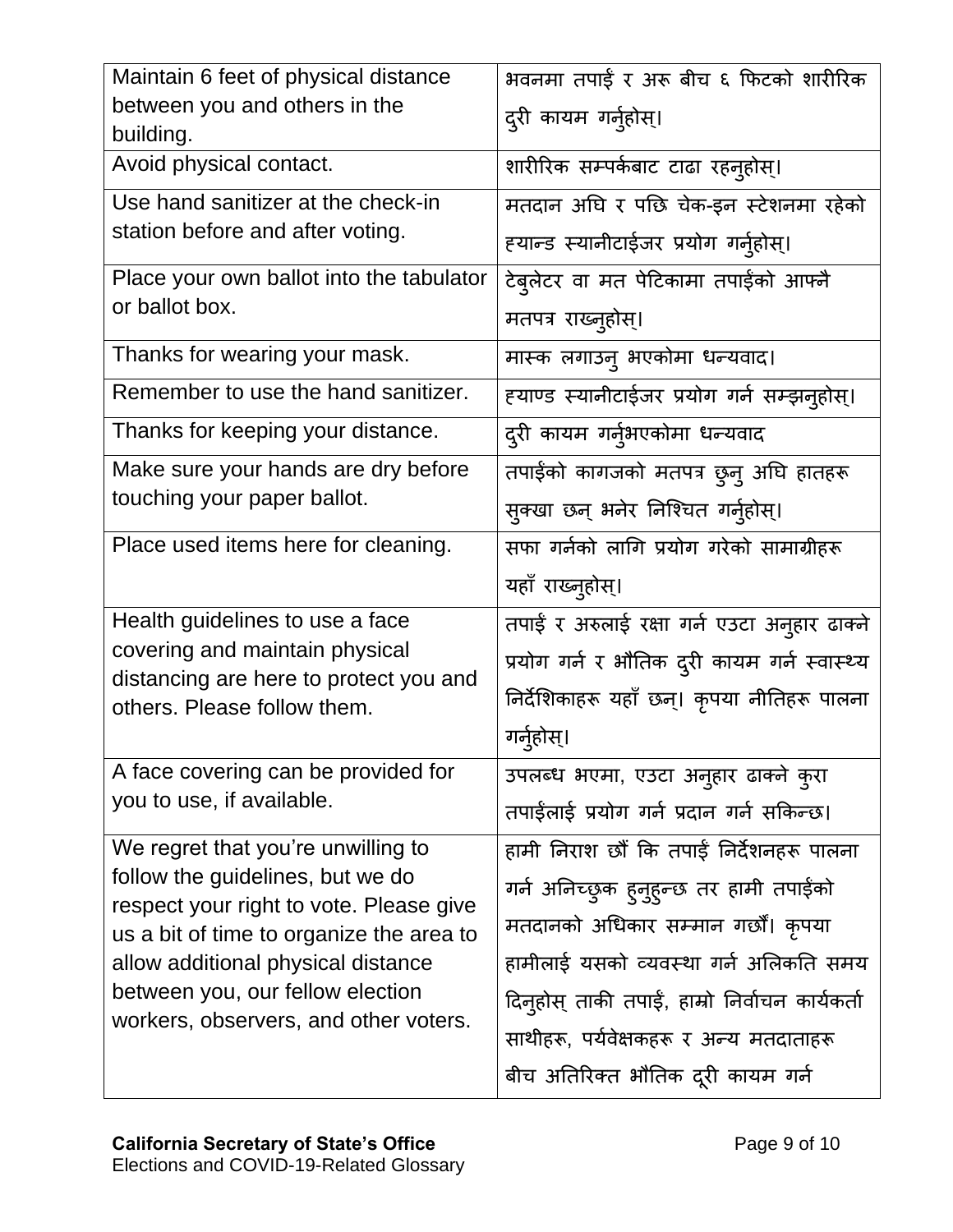| Maintain 6 feet of physical distance                                                | भवनमा तपाईं र अरू बीच ६ फिटको शारीरिक           |
|-------------------------------------------------------------------------------------|-------------------------------------------------|
| between you and others in the<br>building.                                          | द्री कायम गर्नुहोस्।                            |
| Avoid physical contact.                                                             | शारीरिक सम्पर्कबाट टाढा रहन् <b>होस्</b> ।      |
| Use hand sanitizer at the check-in                                                  | मतदान अघि र पछि चेक-इन स्टेशनमा रहेको           |
| station before and after voting.                                                    | हयान्ड स्यानीटाईजर प्रयोग गर्नुहोस्।            |
| Place your own ballot into the tabulator                                            | टेब्लेटर वा मत पेटिकामा तपाईंको आफ्नै           |
| or ballot box.                                                                      | मतपत्र राख्न्होस्।                              |
| Thanks for wearing your mask.                                                       | मास्क लगाउन् भएकोमा धन्यवाद।                    |
| Remember to use the hand sanitizer.                                                 | ह्याण्ड स्यानीटाईजर प्रयोग गर्न सम्झनुहोस्।     |
| Thanks for keeping your distance.                                                   | द्दरी कायम गर्न्भएकोमा धन्यवाद                  |
| Make sure your hands are dry before                                                 | तपाईंको कागजको मतपत्र छुनु अघि हातहरू           |
| touching your paper ballot.                                                         | सुक्खा छन् भनेर निश्चित गर्नुहोस्।              |
| Place used items here for cleaning.                                                 | सफा गर्नको लागि प्रयोग गरेको सामाग्रीहरू        |
|                                                                                     | यहाँ राख्नुहोस्।                                |
| Health guidelines to use a face                                                     | तपाई र अरुलाई रक्षा गर्न एउटा अनुहार ढाक्ने     |
| covering and maintain physical                                                      | प्रयोग गर्न र भौतिक दूरी कायम गर्न स्वास्थ्य    |
| distancing are here to protect you and<br>others. Please follow them.               | निर्देशिकाहरू यहाँ छन्। कृपया नीतिहरू पालना     |
|                                                                                     | गर्नुहोस्।                                      |
| A face covering can be provided for                                                 | उपलब्ध भएमा, एउटा अनुहार ढाक्ने कुरा            |
| you to use, if available.                                                           | तपाईलाई प्रयोग गर्न प्रदान गर्न सकिन्छ।         |
| We regret that you're unwilling to                                                  | हामी निराश छौं कि तपाईं निर्देशनहरू पालना       |
| follow the guidelines, but we do                                                    | गर्न अनिच्छुक ह्नुह्न्छ तर हामी तपाईको          |
| respect your right to vote. Please give<br>us a bit of time to organize the area to | मतदानको अधिकार सम्मान गर्छौं। कृपया             |
| allow additional physical distance                                                  | हामीलाई यसको व्यवस्था गर्न अलिकति समय           |
| between you, our fellow election                                                    | दिन्होस् ताकी तपाईं, हाम्रो निर्वाचन कार्यकर्ता |
| workers, observers, and other voters.                                               | साथीहरू, पर्यवेक्षकहरू र अन्य मतदाताहरू         |
|                                                                                     |                                                 |
|                                                                                     | बीच अतिरिक्त भौतिक दूरी कायम गर्न               |